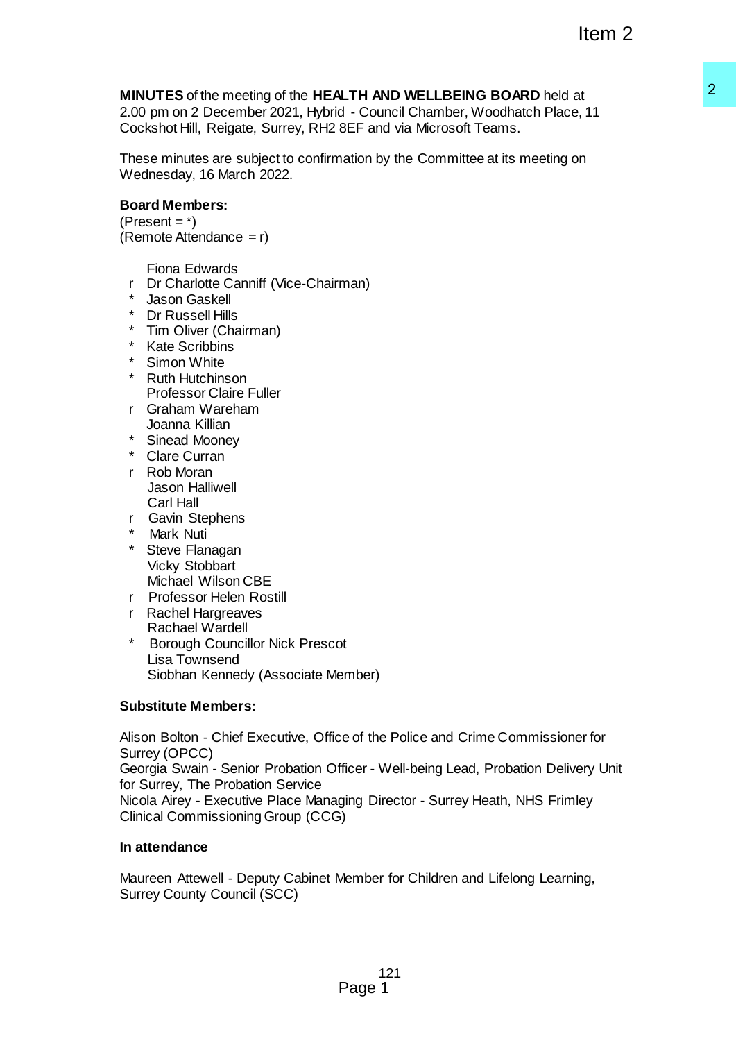# **MINUTES** of the meeting of the **HEALTH AND WELLBEING BOARD** held at

2.00 pm on 2 December 2021, Hybrid - Council Chamber, Woodhatch Place, 11 Cockshot Hill, Reigate, Surrey, RH2 8EF and via Microsoft Teams.

These minutes are subject to confirmation by the Committee at its meeting on Wednesday, 16 March 2022.

# **Board Members:**

 $(Present = *)$  $(Remote$  Attendance = r)

Fiona Edwards

- r Dr Charlotte Canniff (Vice-Chairman)
- Jason Gaskell
- \* Dr Russell Hills
- \* Tim Oliver (Chairman)
- \* Kate Scribbins
- \* Simon White
- \* Ruth Hutchinson Professor Claire Fuller
- r Graham Wareham Joanna Killian
- \* Sinead Mooney
- \* Clare Curran
- r Rob Moran Jason Halliwell Carl Hall
- r Gavin Stephens
- **Mark Nuti**
- \* Steve Flanagan Vicky Stobbart Michael Wilson CBE
- r Professor Helen Rostill
- r Rachel Hargreaves Rachael Wardell
- \* Borough Councillor Nick Prescot Lisa Townsend Siobhan Kennedy (Associate Member)

# **Substitute Members:**

Alison Bolton - Chief Executive, Office of the Police and Crime Commissioner for Surrey (OPCC) Georgia Swain - Senior Probation Officer - Well-being Lead, Probation Delivery Unit for Surrey, The Probation Service Nicola Airey - Executive Place Managing Director - Surrey Heath, NHS Frimley Clinical Commissioning Group (CCG) LTH AND WELLBEING BOARD held at<br>d - Council Chamber, Woodhatch Place, 11<br>eEF and via Microsoft Teams.<br>FEF and via Microsoft Teams.<br>attion by the Committee at its meeting on<br>man)<br>man)<br>man)<br>(between the Delice and Crime Comm

# **In attendance**

Maureen Attewell - Deputy Cabinet Member for Children and Lifelong Learning, Surrey County Council (SCC)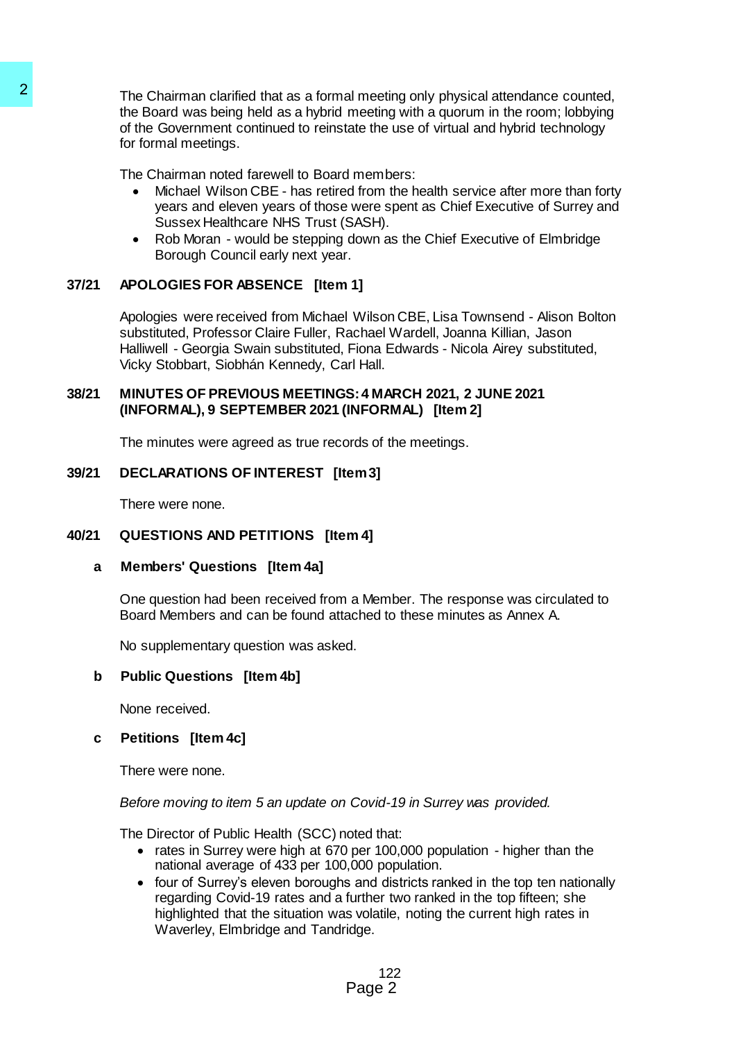The Chairman clarified that as a formal meeting only physical attendance counted, the Board was being held as a hybrid meeting with a quorum in the room; lobbying of the Government continued to reinstate the use of virtual and hybrid technology for formal meetings. The Chairman clarified that as a formal meeting<br>
the Board was being held as a hybrid meeting<br>
of the Government continued to reinstate the<br>
for formal meetings.<br>
The Chairman noted farewell to Board member<br>
The Chairman

The Chairman noted farewell to Board members:

- Michael Wilson CBE has retired from the health service after more than forty years and eleven years of those were spent as Chief Executive of Surrey and Sussex Healthcare NHS Trust (SASH).
- Rob Moran would be stepping down as the Chief Executive of Elmbridge Borough Council early next year.

# **37/21 APOLOGIES FOR ABSENCE [Item 1]**

Apologies were received from Michael Wilson CBE, Lisa Townsend - Alison Bolton substituted, Professor Claire Fuller, Rachael Wardell, Joanna Killian, Jason Halliwell - Georgia Swain substituted, Fiona Edwards - Nicola Airey substituted, Vicky Stobbart, Siobhán Kennedy, Carl Hall.

### **38/21 MINUTES OF PREVIOUS MEETINGS: 4 MARCH 2021, 2 JUNE 2021 (INFORMAL), 9 SEPTEMBER 2021 (INFORMAL) [Item 2]**

The minutes were agreed as true records of the meetings.

# **39/21 DECLARATIONS OF INTEREST [Item 3]**

There were none.

# **40/21 QUESTIONS AND PETITIONS [Item 4]**

# **a Members' Questions [Item 4a]**

One question had been received from a Member. The response was circulated to Board Members and can be found attached to these minutes as Annex A.

No supplementary question was asked.

# **b Public Questions [Item 4b]**

None received.

# **c Petitions [Item 4c]**

There were none.

# *Before moving to item 5 an update on Covid-19 in Surrey was provided.*

The Director of Public Health (SCC) noted that:

- rates in Surrey were high at 670 per 100,000 population higher than the national average of 433 per 100,000 population.
- four of Surrey's eleven boroughs and districts ranked in the top ten nationally regarding Covid-19 rates and a further two ranked in the top fifteen; she highlighted that the situation was volatile, noting the current high rates in Waverley, Elmbridge and Tandridge.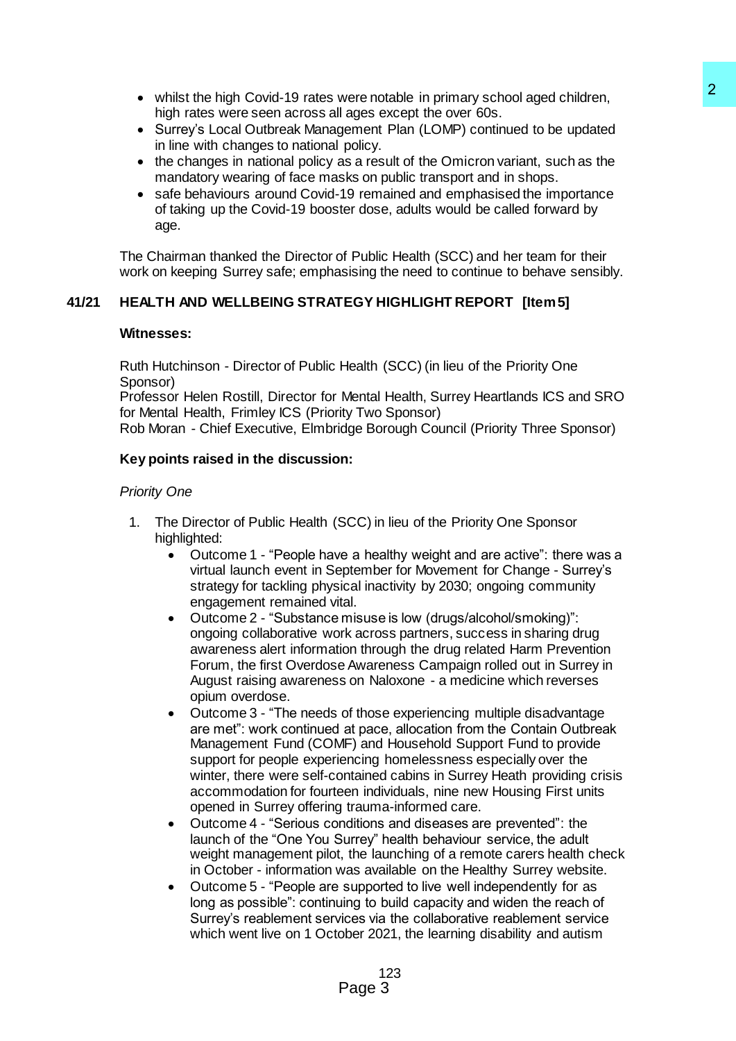- whilst the high Covid-19 rates were notable in primary school aged children, high rates were seen across all ages except the over 60s.
- Surrey's Local Outbreak Management Plan (LOMP) continued to be updated in line with changes to national policy.
- the changes in national policy as a result of the Omicron variant, such as the mandatory wearing of face masks on public transport and in shops.
- safe behaviours around Covid-19 remained and emphasised the importance of taking up the Covid-19 booster dose, adults would be called forward by age.

The Chairman thanked the Director of Public Health (SCC) and her team for their work on keeping Surrey safe; emphasising the need to continue to behave sensibly.

# **41/21 HEALTH AND WELLBEING STRATEGY HIGHLIGHT REPORT [Item 5]**

### **Witnesses:**

Ruth Hutchinson - Director of Public Health (SCC) (in lieu of the Priority One Sponsor)

Professor Helen Rostill, Director for Mental Health, Surrey Heartlands ICS and SRO for Mental Health, Frimley ICS (Priority Two Sponsor)

Rob Moran - Chief Executive, Elmbridge Borough Council (Priority Three Sponsor)

# **Key points raised in the discussion:**

### *Priority One*

- 1. The Director of Public Health (SCC) in lieu of the Priority One Sponsor highlighted:
	- Outcome 1 "People have a healthy weight and are active": there was a virtual launch event in September for Movement for Change - Surrey's strategy for tackling physical inactivity by 2030; ongoing community engagement remained vital.
	- Outcome 2 "Substance misuse is low (drugs/alcohol/smoking)": ongoing collaborative work across partners, success in sharing drug awareness alert information through the drug related Harm Prevention Forum, the first Overdose Awareness Campaign rolled out in Surrey in August raising awareness on Naloxone - a medicine which reverses opium overdose.
- Outcome 3 "The needs of those experiencing multiple disadvantage are met": work continued at pace, allocation from the Contain Outbreak Management Fund (COMF) and Household Support Fund to provide support for people experiencing homelessness especially over the winter, there were self-contained cabins in Surrey Heath providing crisis accommodation for fourteen individuals, nine new Housing First units opened in Surrey offering trauma-informed care. ware notable in primary school aged children,<br>
19ges except the over 60s.<br>
19general Page 10 control to be updated<br>
permert Plan (LOMP) continued to be updated<br>
general Paln (LOMP) continued to be updated<br>
as a result of t
	- Outcome 4 "Serious conditions and diseases are prevented": the launch of the "One You Surrey" health behaviour service, the adult weight management pilot, the launching of a remote carers health check in October - information was available on the Healthy Surrey website.
	- Outcome 5 "People are supported to live well independently for as long as possible": continuing to build capacity and widen the reach of Surrey's reablement services via the collaborative reablement service which went live on 1 October 2021, the learning disability and autism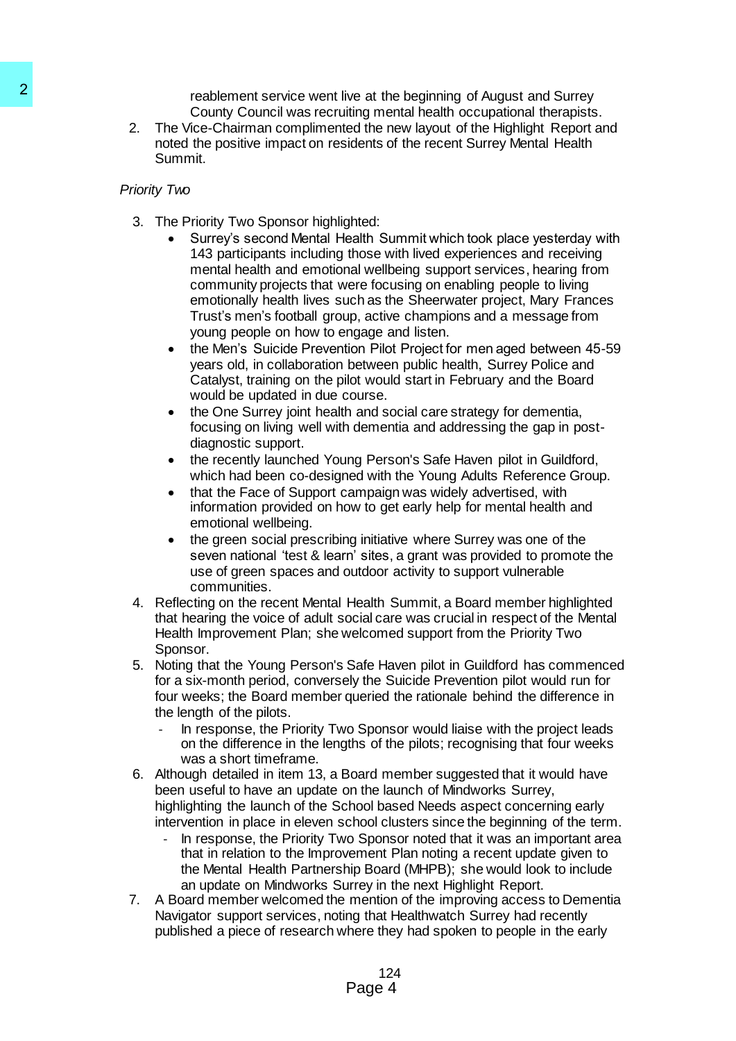reablement service went live at the beginning of August and Surrey County Council was recruiting mental health occupational therapists.

2. The Vice-Chairman complimented the new layout of the Highlight Report and noted the positive impact on residents of the recent Surrey Mental Health Summit.

### *Priority Two*

- 3. The Priority Two Sponsor highlighted:
- Surrey's second Mental Health Summit which took place yesterday with 143 participants including those with lived experiences and receiving mental health and emotional wellbeing support services, hearing from community projects that were focusing on enabling people to living emotionally health lives such as the Sheerwater project, Mary Frances Trust's men's football group, active champions and a message from young people on how to engage and listen. 22<br>
realbement sorbic at the task at the state of the positive interests of<br>
County Council was recruiting mer<br>
2. The Vice-Chairman complimented the an<br>
solved the positive impact on restdents of<br>
Summit:<br>
Priority Two Sp
	- the Men's Suicide Prevention Pilot Project for men aged between 45-59 years old, in collaboration between public health, Surrey Police and Catalyst, training on the pilot would start in February and the Board would be updated in due course.
	- the One Surrey joint health and social care strategy for dementia, focusing on living well with dementia and addressing the gap in postdiagnostic support.
	- the recently launched Young Person's Safe Haven pilot in Guildford, which had been co-designed with the Young Adults Reference Group.
	- that the Face of Support campaign was widely advertised, with information provided on how to get early help for mental health and emotional wellbeing.
	- the green social prescribing initiative where Surrey was one of the seven national 'test & learn' sites, a grant was provided to promote the use of green spaces and outdoor activity to support vulnerable communities.
	- 4. Reflecting on the recent Mental Health Summit, a Board member highlighted that hearing the voice of adult social care was crucial in respect of the Mental Health Improvement Plan; she welcomed support from the Priority Two Sponsor.
	- 5. Noting that the Young Person's Safe Haven pilot in Guildford has commenced for a six-month period, conversely the Suicide Prevention pilot would run for four weeks; the Board member queried the rationale behind the difference in the length of the pilots.
		- In response, the Priority Two Sponsor would liaise with the project leads on the difference in the lengths of the pilots; recognising that four weeks was a short timeframe.
	- 6. Although detailed in item 13, a Board member suggested that it would have been useful to have an update on the launch of Mindworks Surrey, highlighting the launch of the School based Needs aspect concerning early intervention in place in eleven school clusters since the beginning of the term.
		- In response, the Priority Two Sponsor noted that it was an important area that in relation to the Improvement Plan noting a recent update given to the Mental Health Partnership Board (MHPB); she would look to include an update on Mindworks Surrey in the next Highlight Report.
	- 7. A Board member welcomed the mention of the improving access to Dementia Navigator support services, noting that Healthwatch Surrey had recently published a piece of research where they had spoken to people in the early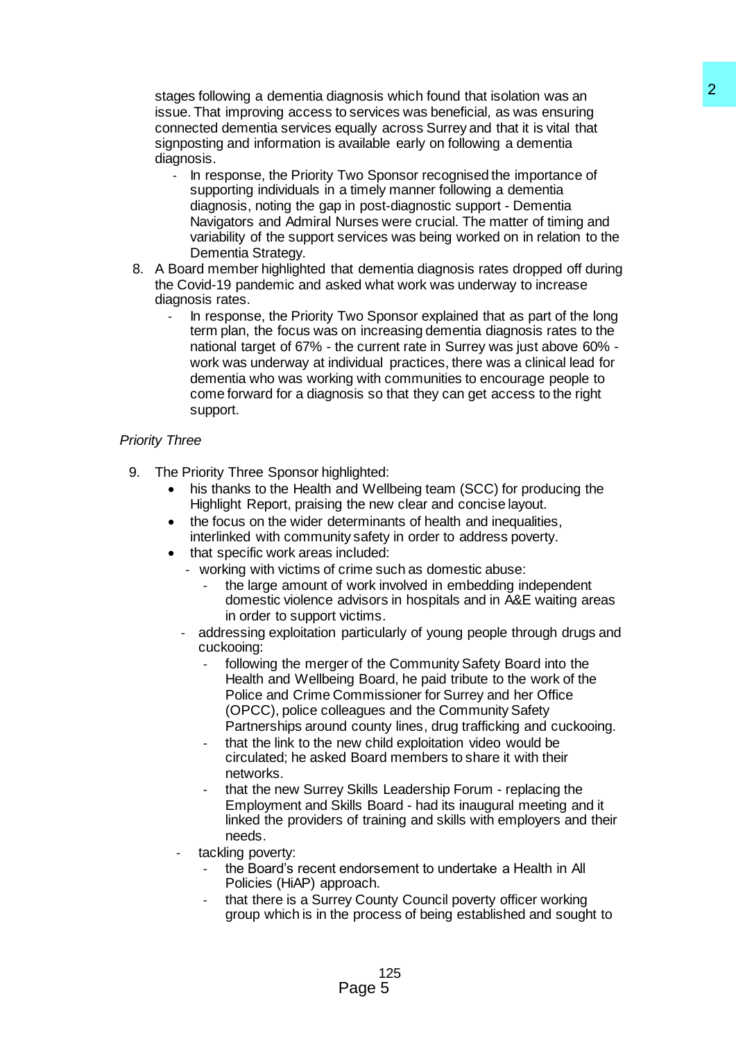stages following a dementia diagnosis which found that isolation was an issue. That improving access to services was beneficial, as was ensuring connected dementia services equally across Surrey and that it is vital that signposting and information is available early on following a dementia diagnosis.

- In response, the Priority Two Sponsor recognised the importance of supporting individuals in a timely manner following a dementia diagnosis, noting the gap in post-diagnostic support - Dementia Navigators and Admiral Nurses were crucial. The matter of timing and variability of the support services was being worked on in relation to the Dementia Strategy.
- 8. A Board member highlighted that dementia diagnosis rates dropped off during the Covid-19 pandemic and asked what work was underway to increase diagnosis rates.
- In response, the Priority Two Sponsor explained that as part of the long term plan, the focus was on increasing dementia diagnosis rates to the national target of 67% - the current rate in Surrey was just above 60% work was underway at individual practices, there was a clinical lead for dementia who was working with communities to encourage people to come forward for a diagnosis so that they can get access to the right support. approsis which found that isolation was an<br>o services was beneficial, as was ensuring<br>o services was beneficial, as was ensuring<br>quality across Surrey and that it is vital that<br>available early on following a dementia<br>Two S

# *Priority Three*

- 9. The Priority Three Sponsor highlighted:
	- his thanks to the Health and Wellbeing team (SCC) for producing the Highlight Report, praising the new clear and concise layout.
	- the focus on the wider determinants of health and inequalities, interlinked with community safety in order to address poverty.
	- that specific work areas included:
		- working with victims of crime such as domestic abuse:
			- the large amount of work involved in embedding independent domestic violence advisors in hospitals and in A&E waiting areas in order to support victims.
		- addressing exploitation particularly of young people through drugs and cuckooing:
			- following the merger of the Community Safety Board into the Health and Wellbeing Board, he paid tribute to the work of the Police and Crime Commissioner for Surrey and her Office (OPCC), police colleagues and the Community Safety Partnerships around county lines, drug trafficking and cuckooing.
			- that the link to the new child exploitation video would be circulated; he asked Board members to share it with their networks.
			- that the new Surrey Skills Leadership Forum replacing the Employment and Skills Board - had its inaugural meeting and it linked the providers of training and skills with employers and their needs.
		- tackling poverty:
			- the Board's recent endorsement to undertake a Health in All Policies (HiAP) approach.
			- that there is a Surrey County Council poverty officer working group which is in the process of being established and sought to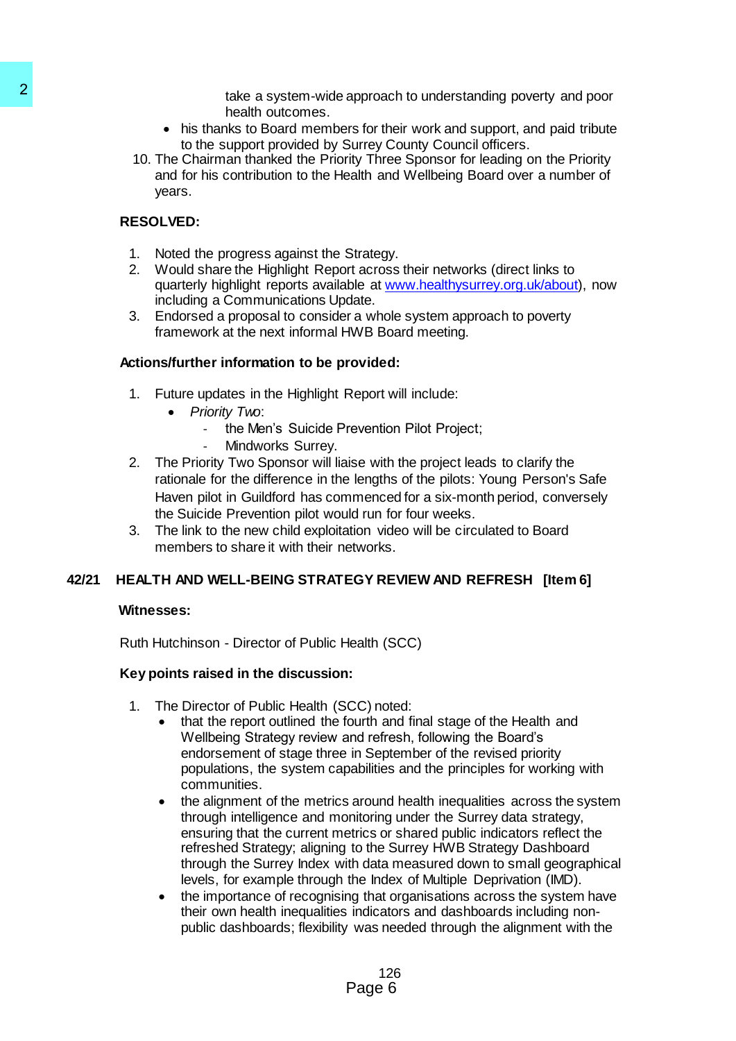take a system-wide approach to understanding poverty and poor health outcomes.

- his thanks to Board members for their work and support, and paid tribute to the support provided by Surrey County Council officers.
- 10. The Chairman thanked the Priority Three Sponsor for leading on the Priority and for his contribution to the Health and Wellbeing Board over a number of years.

# **RESOLVED:**

- 1. Noted the progress against the Strategy.
- 2. Would share the Highlight Report across their networks (direct links to quarterly highlight reports available at [www.healthysurrey.org.uk/about\)](http://www.healthysurrey.org.uk/about), now including a Communications Update.
- 3. Endorsed a proposal to consider a whole system approach to poverty framework at the next informal HWB Board meeting.

# **Actions/further information to be provided:**

- 1. Future updates in the Highlight Report will include:
	- *Priority Two*:
		- the Men's Suicide Prevention Pilot Project;
		- Mindworks Surrey.
- 2. The Priority Two Sponsor will liaise with the project leads to clarify the rationale for the difference in the lengths of the pilots: Young Person's Safe Haven pilot in Guildford has commenced for a six-month period, conversely the Suicide Prevention pilot would run for four weeks.
- 3. The link to the new child exploitation video will be circulated to Board members to share it with their networks.

# **42/21 HEALTH AND WELL-BEING STRATEGY REVIEW AND REFRESH [Item 6]**

# **Witnesses:**

Ruth Hutchinson - Director of Public Health (SCC)

# **Key points raised in the discussion:**

- 1. The Director of Public Health (SCC) noted:
	- that the report outlined the fourth and final stage of the Health and Wellbeing Strategy review and refresh, following the Board's endorsement of stage three in September of the revised priority populations, the system capabilities and the principles for working with communities.
- the alignment of the metrics around health inequalities across the system through intelligence and monitoring under the Surrey data strategy, ensuring that the current metrics or shared public indicators reflect the refreshed Strategy; aligning to the Surrey HWB Strategy Dashboard through the Surrey Index with data measured down to small geographical levels, for example through the Index of Multiple Deprivation (IMD). Franchies a system-wide approach wheat is that the final theorem is to the support provided by Surray Cross to the support provided by Surray Cross to the Support provided by Surray Cross sections that the properties and t
	- the importance of recognising that organisations across the system have their own health inequalities indicators and dashboards including nonpublic dashboards; flexibility was needed through the alignment with the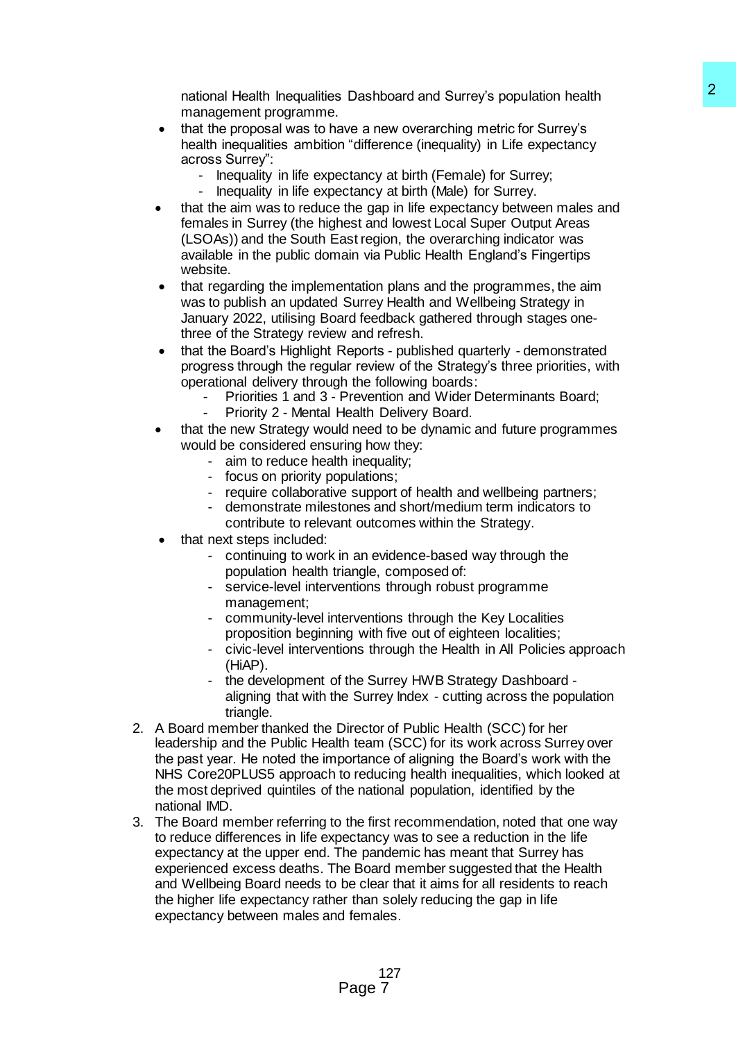national Health Inequalities Dashboard and Surrey's population health management programme.

- that the proposal was to have a new overarching metric for Surrey's health inequalities ambition "difference (inequality) in Life expectancy across Surrey":
	- Inequality in life expectancy at birth (Female) for Surrey;
	- Inequality in life expectancy at birth (Male) for Surrey.
- that the aim was to reduce the gap in life expectancy between males and females in Surrey (the highest and lowest Local Super Output Areas (LSOAs)) and the South East region, the overarching indicator was available in the public domain via Public Health England's Fingertips website.
- that regarding the implementation plans and the programmes, the aim was to publish an updated Surrey Health and Wellbeing Strategy in January 2022, utilising Board feedback gathered through stages onethree of the Strategy review and refresh.
- that the Board's Highlight Reports published quarterly demonstrated progress through the regular review of the Strategy's three priorities, with operational delivery through the following boards:
	- Priorities 1 and 3 Prevention and Wider Determinants Board; Priority 2 - Mental Health Delivery Board.
- that the new Strategy would need to be dynamic and future programmes would be considered ensuring how they:
	- aim to reduce health inequality;
	- focus on priority populations;
	- require collaborative support of health and wellbeing partners;
	- demonstrate milestones and short/medium term indicators to
		- contribute to relevant outcomes within the Strategy.
- that next steps included:
	- continuing to work in an evidence-based way through the population health triangle, composed of:
	- service-level interventions through robust programme management;
	- community-level interventions through the Key Localities proposition beginning with five out of eighteen localities;
	- civic-level interventions through the Health in All Policies approach (HiAP).
	- the development of the Surrey HWB Strategy Dashboard aligning that with the Surrey Index - cutting across the population triangle.
- 2. A Board member thanked the Director of Public Health (SCC) for her leadership and the Public Health team (SCC) for its work across Surrey over the past year. He noted the importance of aligning the Board's work with the NHS Core20PLUS5 approach to reducing health inequalities, which looked at the most deprived quintiles of the national population, identified by the national IMD.
- 3. The Board member referring to the first recommendation, noted that one way to reduce differences in life expectancy was to see a reduction in the life expectancy at the upper end. The pandemic has meant that Surrey has experienced excess deaths. The Board member suggested that the Health and Wellbeing Board needs to be clear that it aims for all residents to reach the higher life expectancy rather than solely reducing the gap in life expectancy between males and females. B Dashboard and Surrey's population health<br>
we a new overarching metric for Surrey's<br>
a new overarching metric for Surrey's<br>
a new overarching metric for Surrey's<br>
cetancy at birth (Female) for Surrey.<br>
cetancy at birth (F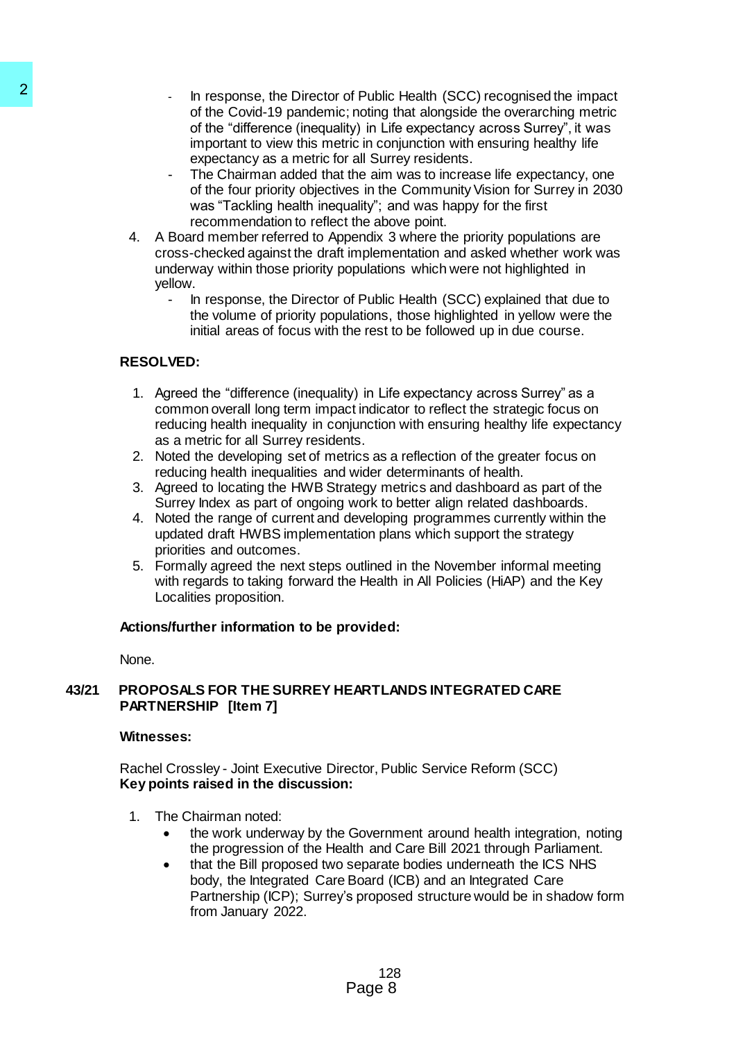- In response, the Director of Public Health (SCC) recognised the impact of the Covid-19 pandemic; noting that alongside the overarching metric of the "difference (inequality) in Life expectancy across Surrey", it was important to view this metric in conjunction with ensuring healthy life expectancy as a metric for all Surrey residents. 2<br>
In response, the Director of Public or<br>
of the Covid-19 partdenic; noting<br>
of the Covid-19 partdenic (noting<br>
important to view this metric for all Sur<br>
important to view this metric for all<br>
important to view this metr
	- The Chairman added that the aim was to increase life expectancy, one of the four priority objectives in the Community Vision for Surrey in 2030 was "Tackling health inequality"; and was happy for the first recommendation to reflect the above point.
	- 4. A Board member referred to Appendix 3 where the priority populations are cross-checked against the draft implementation and asked whether work was underway within those priority populations which were not highlighted in yellow.
		- In response, the Director of Public Health (SCC) explained that due to the volume of priority populations, those highlighted in yellow were the initial areas of focus with the rest to be followed up in due course.

# **RESOLVED:**

- 1. Agreed the "difference (inequality) in Life expectancy across Surrey" as a common overall long term impact indicator to reflect the strategic focus on reducing health inequality in conjunction with ensuring healthy life expectancy as a metric for all Surrey residents.
- 2. Noted the developing set of metrics as a reflection of the greater focus on reducing health inequalities and wider determinants of health.
- 3. Agreed to locating the HWB Strategy metrics and dashboard as part of the Surrey Index as part of ongoing work to better align related dashboards.
- 4. Noted the range of current and developing programmes currently within the updated draft HWBS implementation plans which support the strategy priorities and outcomes.
- 5. Formally agreed the next steps outlined in the November informal meeting with regards to taking forward the Health in All Policies (HiAP) and the Key Localities proposition.

# **Actions/further information to be provided:**

None.

# **43/21 PROPOSALS FOR THE SURREY HEARTLANDS INTEGRATED CARE PARTNERSHIP [Item 7]**

# **Witnesses:**

Rachel Crossley - Joint Executive Director, Public Service Reform (SCC) **Key points raised in the discussion:** 

- 1. The Chairman noted:
	- the work underway by the Government around health integration, noting the progression of the Health and Care Bill 2021 through Parliament.
	- that the Bill proposed two separate bodies underneath the ICS NHS body, the Integrated Care Board (ICB) and an Integrated Care Partnership (ICP); Surrey's proposed structure would be in shadow form from January 2022.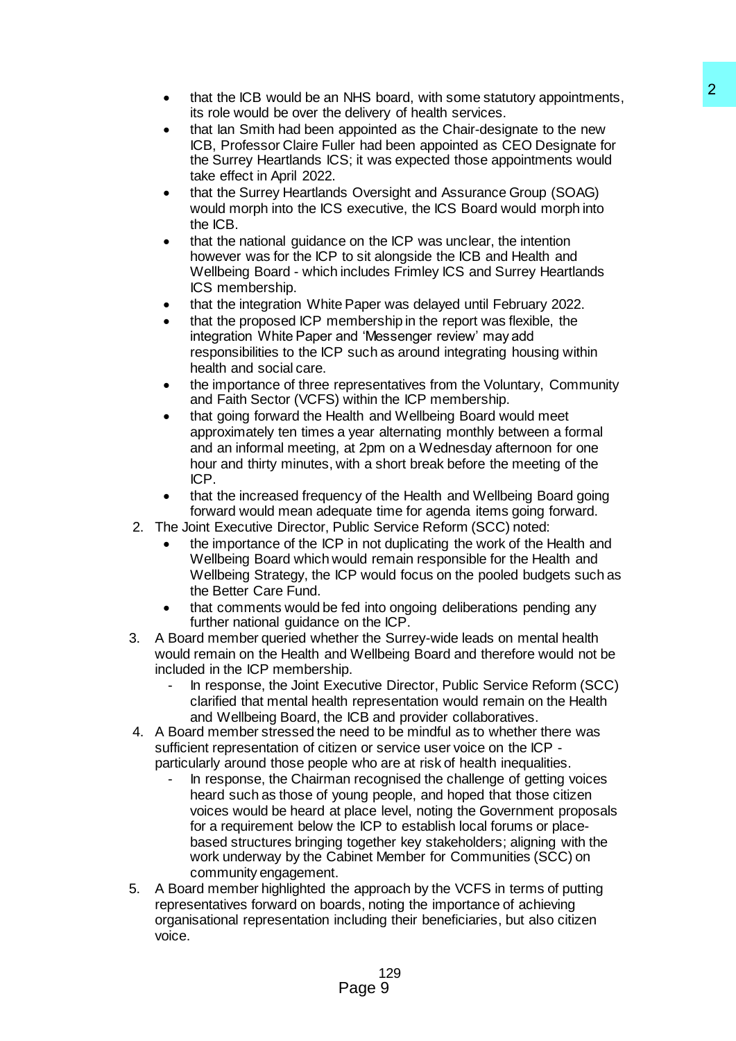- that the ICB would be an NHS board, with some statutory appointments, its role would be over the delivery of health services.
- that Ian Smith had been appointed as the Chair-designate to the new ICB, Professor Claire Fuller had been appointed as CEO Designate for the Surrey Heartlands ICS; it was expected those appointments would take effect in April 2022.
- that the Surrey Heartlands Oversight and Assurance Group (SOAG) would morph into the ICS executive, the ICS Board would morph into the ICB.
- that the national guidance on the ICP was unclear, the intention however was for the ICP to sit alongside the ICB and Health and Wellbeing Board - which includes Frimley ICS and Surrey Heartlands ICS membership.
- that the integration White Paper was delayed until February 2022.
- that the proposed ICP membership in the report was flexible, the integration White Paper and 'Messenger review' may add responsibilities to the ICP such as around integrating housing within health and social care.
- the importance of three representatives from the Voluntary, Community and Faith Sector (VCFS) within the ICP membership.
- that going forward the Health and Wellbeing Board would meet approximately ten times a year alternating monthly between a formal and an informal meeting, at 2pm on a Wednesday afternoon for one hour and thirty minutes, with a short break before the meeting of the ICP.
- that the increased frequency of the Health and Wellbeing Board going forward would mean adequate time for agenda items going forward.
- 2. The Joint Executive Director, Public Service Reform (SCC) noted:
	- the importance of the ICP in not duplicating the work of the Health and Wellbeing Board which would remain responsible for the Health and Wellbeing Strategy, the ICP would focus on the pooled budgets such as the Better Care Fund.
	- that comments would be fed into ongoing deliberations pending any further national guidance on the ICP.
- 3. A Board member queried whether the Surrey-wide leads on mental health would remain on the Health and Wellbeing Board and therefore would not be included in the ICP membership.
	- In response, the Joint Executive Director, Public Service Reform (SCC) clarified that mental health representation would remain on the Health and Wellbeing Board, the ICB and provider collaboratives.
- 4. A Board member stressed the need to be mindful as to whether there was sufficient representation of citizen or service user voice on the ICP particularly around those people who are at risk of health inequalities.
- In response, the Chairman recognised the challenge of getting voices heard such as those of young people, and hoped that those citizen voices would be heard at place level, noting the Government proposals for a requirement below the ICP to establish local forums or placebased structures bringing together key stakeholders; aligning with the work underway by the Cabinet Member for Communities (SCC) on community engagement. NHS baard, with some statutory appointments,<br>
altrableny of health earlyces appointments and denote the ravive estimate to the new appointed as the Chair-designate to the new appointments would<br>
light middlenen appointed a
- 5. A Board member highlighted the approach by the VCFS in terms of putting representatives forward on boards, noting the importance of achieving organisational representation including their beneficiaries, but also citizen voice.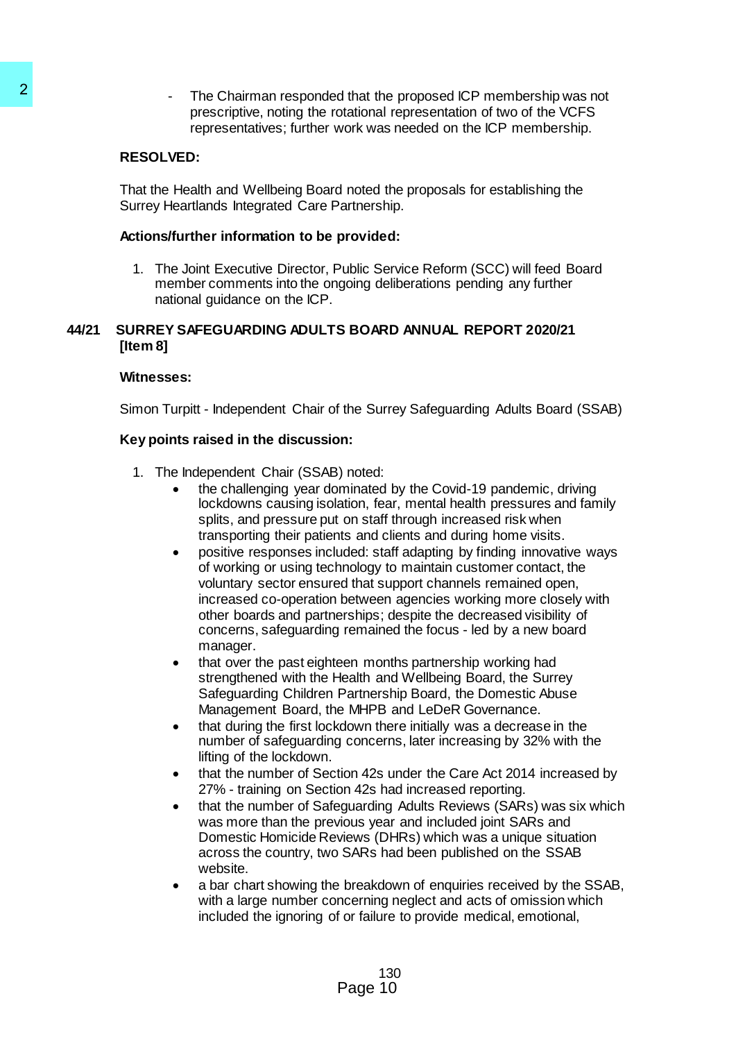The Chairman responded that the proposed ICP membership was not prescriptive, noting the rotational representation of two of the VCFS representatives; further work was needed on the ICP membership.

# **RESOLVED:**

That the Health and Wellbeing Board noted the proposals for establishing the Surrey Heartlands Integrated Care Partnership.

#### **Actions/further information to be provided:**

1. The Joint Executive Director, Public Service Reform (SCC) will feed Board member comments into the ongoing deliberations pending any further national guidance on the ICP.

### **44/21 SURREY SAFEGUARDING ADULTS BOARD ANNUAL REPORT 2020/21 [Item 8]**

### **Witnesses:**

Simon Turpitt - Independent Chair of the Surrey Safeguarding Adults Board (SSAB)

### **Key points raised in the discussion:**

- 1. The Independent Chair (SSAB) noted:
	- the challenging year dominated by the Covid-19 pandemic, driving lockdowns causing isolation, fear, mental health pressures and family splits, and pressure put on staff through increased risk when transporting their patients and clients and during home visits.
- positive responses included: staff adapting by finding innovative ways of working or using technology to maintain customer contact, the voluntary sector ensured that support channels remained open, increased co-operation between agencies working more closely with other boards and partnerships; despite the decreased visibility of concerns, safeguarding remained the focus - led by a new board manager. The Chairman responded that the Plantinum Case<br>
prescriptive, noting the criational representatives; lurther vork was<br>
RESOLVED:<br>
That the Health and Wellbeing Board noted that<br>
Survey Health and Wellbeing Board noted that
	- that over the past eighteen months partnership working had strengthened with the Health and Wellbeing Board, the Surrey Safeguarding Children Partnership Board, the Domestic Abuse Management Board, the MHPB and LeDeR Governance.
	- that during the first lockdown there initially was a decrease in the number of safeguarding concerns, later increasing by 32% with the lifting of the lockdown.
	- that the number of Section 42s under the Care Act 2014 increased by 27% - training on Section 42s had increased reporting.
	- that the number of Safeguarding Adults Reviews (SARs) was six which was more than the previous year and included joint SARs and Domestic Homicide Reviews (DHRs) which was a unique situation across the country, two SARs had been published on the SSAB website.
	- a bar chart showing the breakdown of enquiries received by the SSAB, with a large number concerning neglect and acts of omission which included the ignoring of or failure to provide medical, emotional,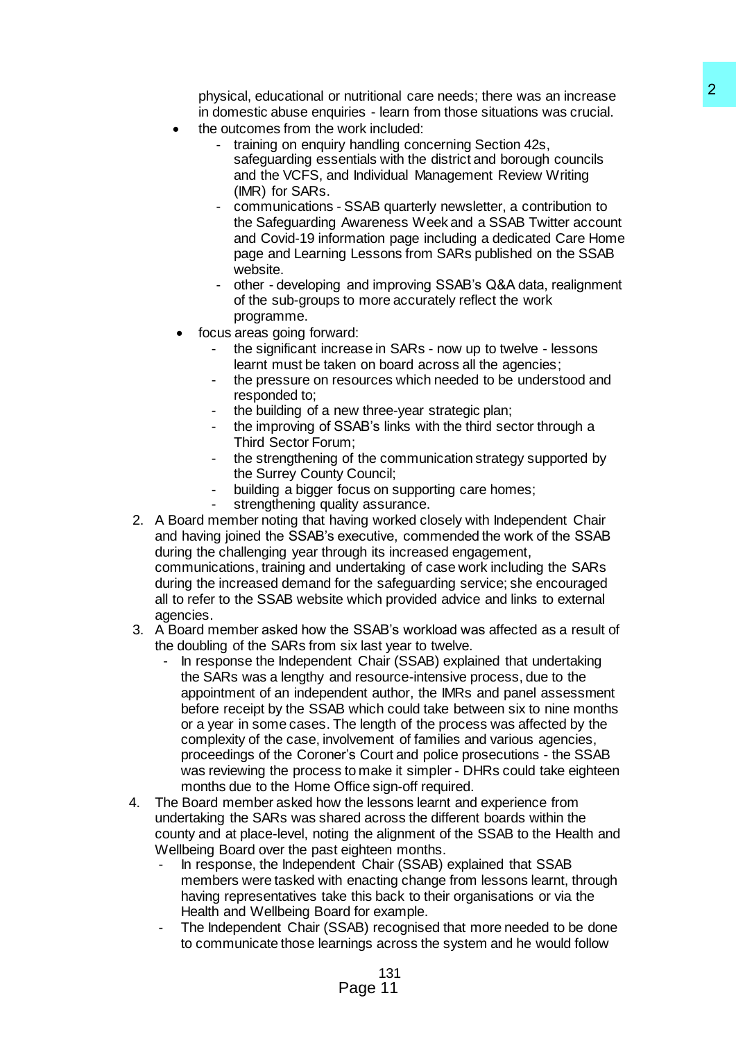physical, educational or nutritional care needs; there was an increase in domestic abuse enquiries - learn from those situations was crucial.

- the outcomes from the work included:
	- training on enquiry handling concerning Section 42s, safeguarding essentials with the district and borough councils and the VCFS, and Individual Management Review Writing (IMR) for SARs.
	- communications SSAB quarterly newsletter, a contribution to the Safeguarding Awareness Week and a SSAB Twitter account and Covid-19 information page including a dedicated Care Home page and Learning Lessons from SARs published on the SSAB website.
	- other developing and improving SSAB's Q&A data, realignment of the sub-groups to more accurately reflect the work programme.
- focus areas going forward:
	- the significant increase in SARs now up to twelve lessons learnt must be taken on board across all the agencies;
	- the pressure on resources which needed to be understood and responded to;
	- the building of a new three-year strategic plan;
	- the improving of SSAB's links with the third sector through a Third Sector Forum;
	- the strengthening of the communication strategy supported by the Surrey County Council;
	- building a bigger focus on supporting care homes;
	- strengthening quality assurance.
- 2. A Board member noting that having worked closely with Independent Chair and having joined the SSAB's executive, commended the work of the SSAB during the challenging year through its increased engagement, communications, training and undertaking of case work including the SARs during the increased demand for the safeguarding service; she encouraged all to refer to the SSAB website which provided advice and links to external agencies.
- 3. A Board member asked how the SSAB's workload was affected as a result of the doubling of the SARs from six last year to twelve.
- In response the Independent Chair (SSAB) explained that undertaking the SARs was a lengthy and resource-intensive process, due to the appointment of an independent author, the IMRs and panel assessment before receipt by the SSAB which could take between six to nine months or a year in some cases. The length of the process was affected by the complexity of the case, involvement of families and various agencies, proceedings of the Coroner's Court and police prosecutions - the SSAB was reviewing the process to make it simpler - DHRs could take eighteen months due to the Home Office sign-off required. nutritional care neasts; there was an increase<br>
inties - hearn from those studients was crucial.<br>
Whardled concerning Section 42s,<br>
whardleng concerning Section 42s,<br>
whardleng concerning Section 42s,<br>
whardleng concerning
- 4. The Board member asked how the lessons learnt and experience from undertaking the SARs was shared across the different boards within the county and at place-level, noting the alignment of the SSAB to the Health and Wellbeing Board over the past eighteen months.
	- In response, the Independent Chair (SSAB) explained that SSAB members were tasked with enacting change from lessons learnt, through having representatives take this back to their organisations or via the Health and Wellbeing Board for example.
	- The Independent Chair (SSAB) recognised that more needed to be done to communicate those learnings across the system and he would follow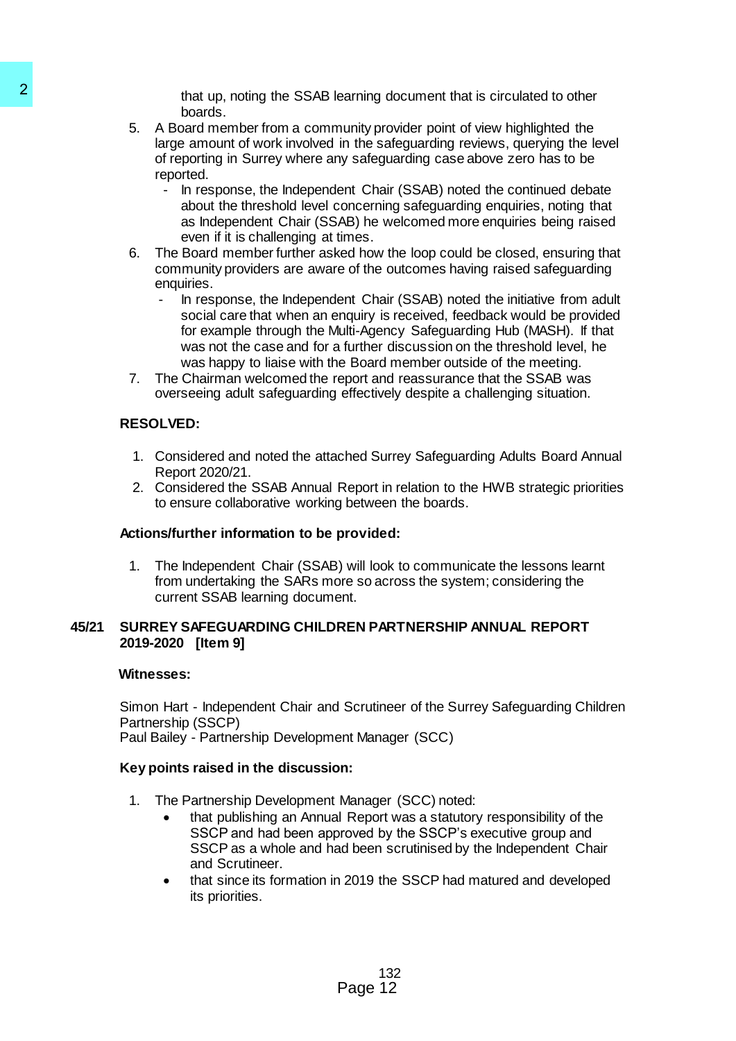that up, noting the SSAB learning document that is circulated to other boards.

- 5. A Board member from a community provider point of view highlighted the large amount of work involved in the safeguarding reviews, querying the level of reporting in Surrey where any safeguarding case above zero has to be reported.
	- In response, the Independent Chair (SSAB) noted the continued debate about the threshold level concerning safeguarding enquiries, noting that as Independent Chair (SSAB) he welcomed more enquiries being raised even if it is challenging at times.
- 6. The Board member further asked how the loop could be closed, ensuring that community providers are aware of the outcomes having raised safeguarding enquiries.
- In response, the Independent Chair (SSAB) noted the initiative from adult social care that when an enquiry is received, feedback would be provided for example through the Multi-Agency Safeguarding Hub (MASH). If that was not the case and for a further discussion on the threshold level, he was happy to liaise with the Board member outside of the meeting. that up, noting the SSAB learning the SSAB learning the SAB beard member from a community provide is a drapendent. That space is a hot percelling in Surrey where any safegue reported. This percelling in Surrey where any sa
	- 7. The Chairman welcomed the report and reassurance that the SSAB was overseeing adult safeguarding effectively despite a challenging situation.

# **RESOLVED:**

- 1. Considered and noted the attached Surrey Safeguarding Adults Board Annual Report 2020/21.
- 2. Considered the SSAB Annual Report in relation to the HWB strategic priorities to ensure collaborative working between the boards.

# **Actions/further information to be provided:**

1. The Independent Chair (SSAB) will look to communicate the lessons learnt from undertaking the SARs more so across the system; considering the current SSAB learning document.

### **45/21 SURREY SAFEGUARDING CHILDREN PARTNERSHIP ANNUAL REPORT 2019-2020 [Item 9]**

#### **Witnesses:**

Simon Hart - Independent Chair and Scrutineer of the Surrey Safeguarding Children Partnership (SSCP) Paul Bailey - Partnership Development Manager (SCC)

# **Key points raised in the discussion:**

- 1. The Partnership Development Manager (SCC) noted:
	- that publishing an Annual Report was a statutory responsibility of the SSCP and had been approved by the SSCP's executive group and SSCP as a whole and had been scrutinised by the Independent Chair and Scrutineer.
	- that since its formation in 2019 the SSCP had matured and developed its priorities.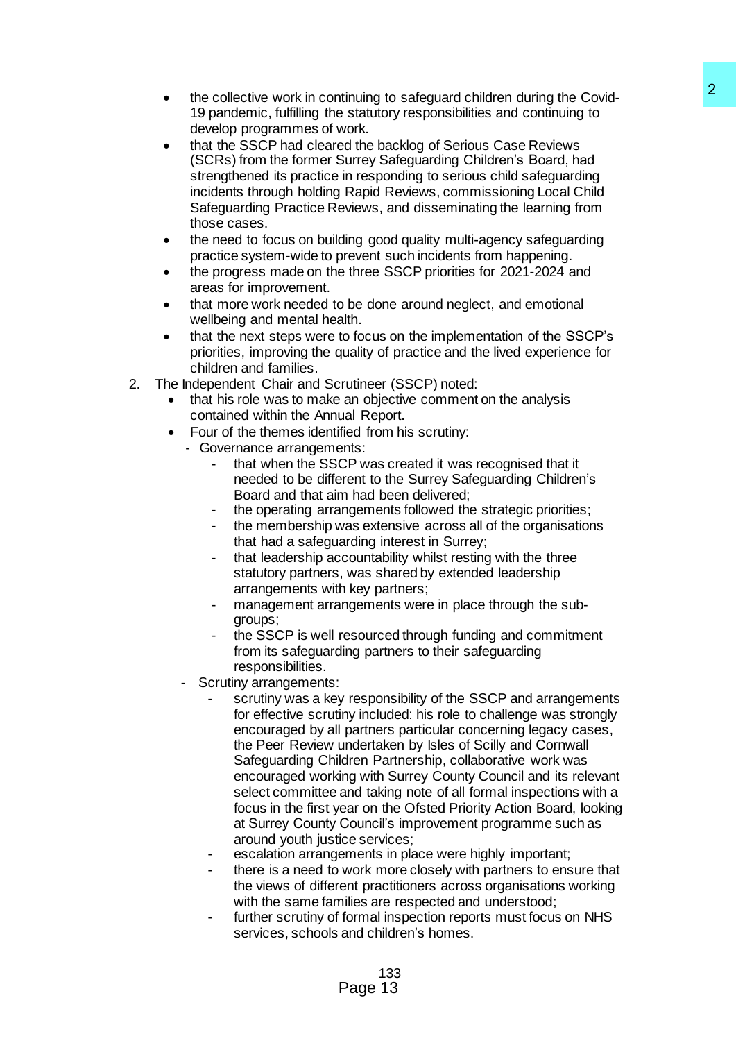- the collective work in continuing to safeguard children during the Covid-19 pandemic, fulfilling the statutory responsibilities and continuing to develop programmes of work.
- that the SSCP had cleared the backlog of Serious Case Reviews (SCRs) from the former Surrey Safeguarding Children's Board, had strengthened its practice in responding to serious child safeguarding incidents through holding Rapid Reviews, commissioning Local Child Safeguarding Practice Reviews, and disseminating the learning from those cases.
- the need to focus on building good quality multi-agency safeguarding practice system-wide to prevent such incidents from happening.
- the progress made on the three SSCP priorities for 2021-2024 and areas for improvement.
- that more work needed to be done around neglect, and emotional wellbeing and mental health.
- that the next steps were to focus on the implementation of the SSCP's priorities, improving the quality of practice and the lived experience for children and families.
- 2. The Independent Chair and Scrutineer (SSCP) noted:
	- that his role was to make an objective comment on the analysis contained within the Annual Report.
		- Four of the themes identified from his scrutiny:
		- Governance arrangements:
			- that when the SSCP was created it was recognised that it needed to be different to the Surrey Safeguarding Children's Board and that aim had been delivered;
			- the operating arrangements followed the strategic priorities;
			- the membership was extensive across all of the organisations that had a safeguarding interest in Surrey;
			- that leadership accountability whilst resting with the three statutory partners, was shared by extended leadership arrangements with key partners;
			- management arrangements were in place through the subgroups;
			- the SSCP is well resourced through funding and commitment from its safeguarding partners to their safeguarding responsibilities.
		- Scrutiny arrangements:
- scrutiny was a key responsibility of the SSCP and arrangements for effective scrutiny included: his role to challenge was strongly encouraged by all partners particular concerning legacy cases, the Peer Review undertaken by Isles of Scilly and Cornwall Safeguarding Children Partnership, collaborative work was encouraged working with Surrey County Council and its relevant select committee and taking note of all formal inspections with a focus in the first year on the Ofsted Priority Action Board, looking at Surrey County Council's improvement programme such as around youth justice services: interium to safeguard children during the Covid-<br>
Settletoy responsibilities and contriuming to<br>
solutiony responsibilities and contriuming to<br>
Solution backlog of Serious Case Reviews<br>
Survey Safeguarding Children's Board
	- escalation arrangements in place were highly important;
	- there is a need to work more closely with partners to ensure that the views of different practitioners across organisations working with the same families are respected and understood;
	- further scrutiny of formal inspection reports must focus on NHS services, schools and children's homes.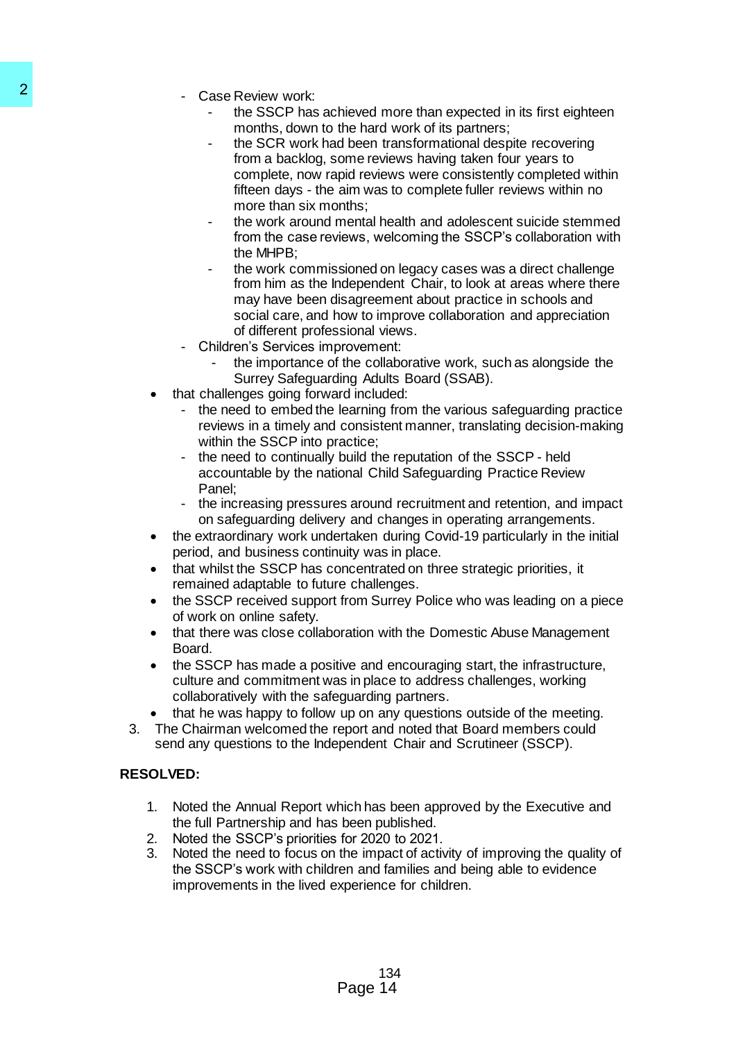- Case Review work:
	- the SSCP has achieved more than expected in its first eighteen months, down to the hard work of its partners;
	- the SCR work had been transformational despite recovering from a backlog, some reviews having taken four years to complete, now rapid reviews were consistently completed within fifteen days - the aim was to complete fuller reviews within no more than six months;
	- the work around mental health and adolescent suicide stemmed from the case reviews, welcoming the SSCP's collaboration with the MHPB;
- the work commissioned on legacy cases was a direct challenge from him as the Independent Chair, to look at areas where there may have been disagreement about practice in schools and social care, and how to improve collaboration and appreciation of different professional views. 2<br>
Case Review work:<br>
months, down to the hard<br>
months, down to the hard<br>
months, down the hard<br>
months, down the months<br>
from a backlog, some review<br>
more than six months;<br>
more than six months.<br>
from the case reviews, we
	- Children's Services improvement:
		- the importance of the collaborative work, such as alongside the Surrey Safeguarding Adults Board (SSAB).
	- that challenges going forward included:
		- the need to embed the learning from the various safeguarding practice reviews in a timely and consistent manner, translating decision-making within the SSCP into practice:
		- the need to continually build the reputation of the SSCP held accountable by the national Child Safeguarding Practice Review Panel;
		- the increasing pressures around recruitment and retention, and impact on safeguarding delivery and changes in operating arrangements.
	- the extraordinary work undertaken during Covid-19 particularly in the initial period, and business continuity was in place.
	- that whilst the SSCP has concentrated on three strategic priorities, it remained adaptable to future challenges.
	- the SSCP received support from Surrey Police who was leading on a piece of work on online safety.
	- that there was close collaboration with the Domestic Abuse Management Board.
	- the SSCP has made a positive and encouraging start, the infrastructure, culture and commitment was in place to address challenges, working collaboratively with the safeguarding partners.
	- that he was happy to follow up on any questions outside of the meeting.
	- 3. The Chairman welcomed the report and noted that Board members could send any questions to the Independent Chair and Scrutineer (SSCP).

# **RESOLVED:**

- 1. Noted the Annual Report which has been approved by the Executive and the full Partnership and has been published.
- 2. Noted the SSCP's priorities for 2020 to 2021.
- 3. Noted the need to focus on the impact of activity of improving the quality of the SSCP's work with children and families and being able to evidence improvements in the lived experience for children.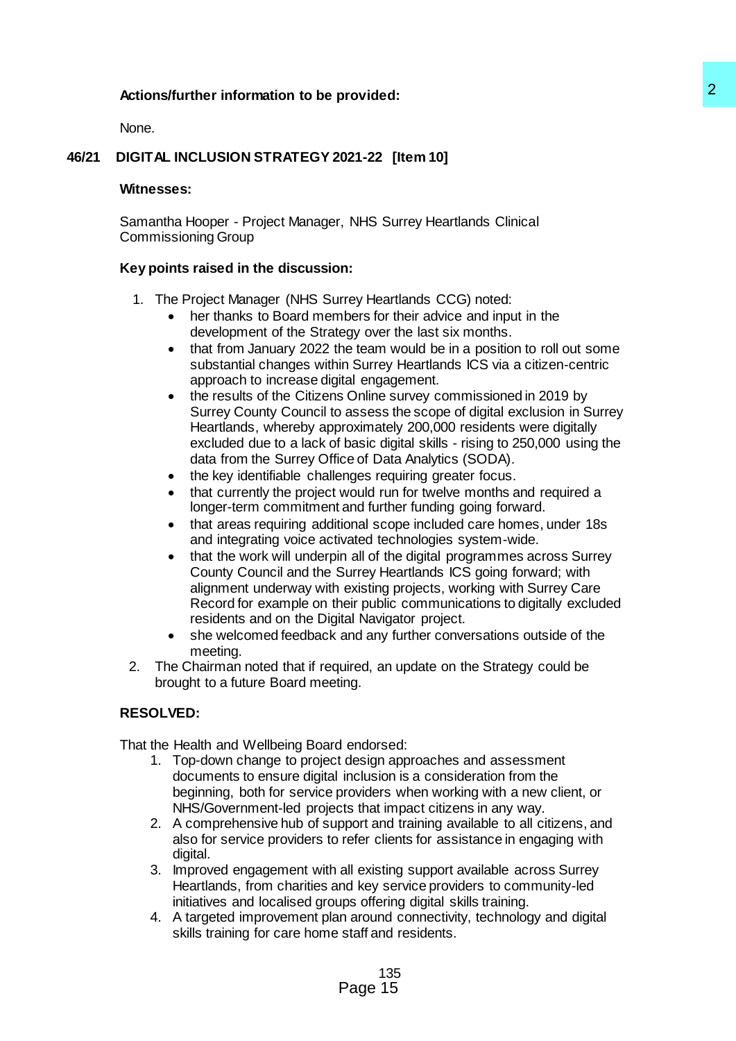# **Actions/further information to be provided:**

None.

# **46/21 DIGITAL INCLUSION STRATEGY 2021-22 [Item 10]**

#### **Witnesses:**

Samantha Hooper - Project Manager, NHS Surrey Heartlands Clinical Commissioning Group

### **Key points raised in the discussion:**

- 1. The Project Manager (NHS Surrey Heartlands CCG) noted:
	- her thanks to Board members for their advice and input in the development of the Strategy over the last six months.
	- that from January 2022 the team would be in a position to roll out some substantial changes within Surrey Heartlands ICS via a citizen-centric approach to increase digital engagement.
- the results of the Citizens Online survey commissioned in 2019 by Surrey County Council to assess the scope of digital exclusion in Surrey Heartlands, whereby approximately 200,000 residents were digitally excluded due to a lack of basic digital skills - rising to 250,000 using the data from the Surrey Office of Data Analytics (SODA). 22<br>
221-22 [Item 10]<br>
12021-22 [Item 10]<br>
12021-22 [Item 10]<br>
11: Trey Heartlands CCG) noted:<br>
11:<br>
11: Trey Heartlands CCG) noted:<br>
11:<br>
Trey Heartlands CCG) noted:<br>
11:<br>
Trey Heartlands CCG was a citizen-centric<br>
12:<br>
12
	- the key identifiable challenges requiring greater focus.
	- that currently the project would run for twelve months and required a longer-term commitment and further funding going forward.
	- that areas requiring additional scope included care homes, under 18s and integrating voice activated technologies system-wide.
	- that the work will underpin all of the digital programmes across Surrey County Council and the Surrey Heartlands ICS going forward; with alignment underway with existing projects, working with Surrey Care Record for example on their public communications to digitally excluded residents and on the Digital Navigator project.
	- she welcomed feedback and any further conversations outside of the meeting.
- 2. The Chairman noted that if required, an update on the Strategy could be brought to a future Board meeting.

# **RESOLVED:**

That the Health and Wellbeing Board endorsed:

- 1. Top-down change to project design approaches and assessment documents to ensure digital inclusion is a consideration from the beginning, both for service providers when working with a new client, or NHS/Government-led projects that impact citizens in any way.
- 2. A comprehensive hub of support and training available to all citizens, and also for service providers to refer clients for assistance in engaging with digital.
- 3. Improved engagement with all existing support available across Surrey Heartlands, from charities and key service providers to community-led initiatives and localised groups offering digital skills training.
- 4. A targeted improvement plan around connectivity, technology and digital skills training for care home staff and residents.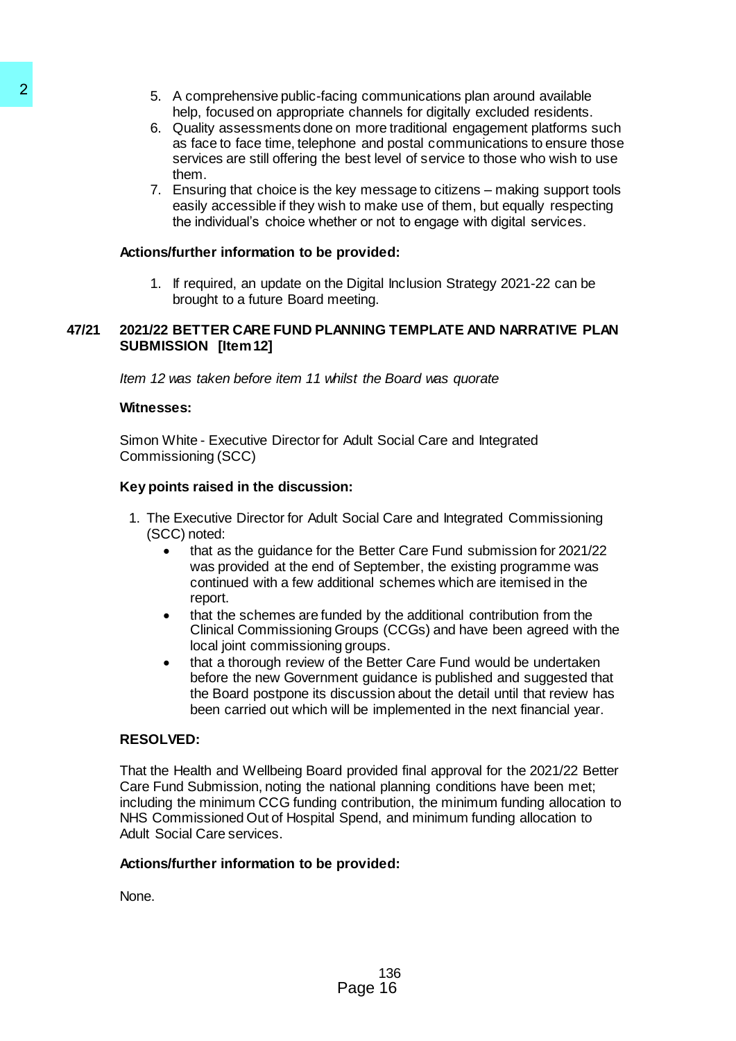- 5. A comprehensive public-facing communications plan around available help, focused on appropriate channels for digitally excluded residents.
- 6. Quality assessments done on more traditional engagement platforms such as face to face time, telephone and postal communications to ensure those services are still offering the best level of service to those who wish to use them.
- 7. Ensuring that choice is the key message to citizens making support tools easily accessible if they wish to make use of them, but equally respecting the individual's choice whether or not to engage with digital services.

### **Actions/further information to be provided:**

1. If required, an update on the Digital Inclusion Strategy 2021-22 can be brought to a future Board meeting.

### **47/21 2021/22 BETTER CARE FUND PLANNING TEMPLATE AND NARRATIVE PLAN SUBMISSION [Item 12]**

*Item 12 was taken before item 11 whilst the Board was quorate*

### **Witnesses:**

Simon White - Executive Director for Adult Social Care and Integrated Commissioning (SCC)

### **Key points raised in the discussion:**

- 1. The Executive Director for Adult Social Care and Integrated Commissioning (SCC) noted:
	- that as the guidance for the Better Care Fund submission for 2021/22 was provided at the end of September, the existing programme was continued with a few additional schemes which are itemised in the report.
	- that the schemes are funded by the additional contribution from the Clinical Commissioning Groups (CCGs) and have been agreed with the local joint commissioning groups.
	- that a thorough review of the Better Care Fund would be undertaken before the new Government guidance is published and suggested that the Board postpone its discussion about the detail until that review has been carried out which will be implemented in the next financial year.

#### **RESOLVED:**

That the Health and Wellbeing Board provided final approval for the 2021/22 Better Care Fund Submission, noting the national planning conditions have been met; including the minimum CCG funding contribution, the minimum funding allocation to NHS Commissioned Out of Hospital Spend, and minimum funding allocation to Adult Social Care services. 3. A comprehensive public-facing communication and the searchest public-facing common 6. Guality assessments done on more associal of the searchest as as a sea bill offering the best level<br>then, the search as a sea still

# **Actions/further information to be provided:**

None.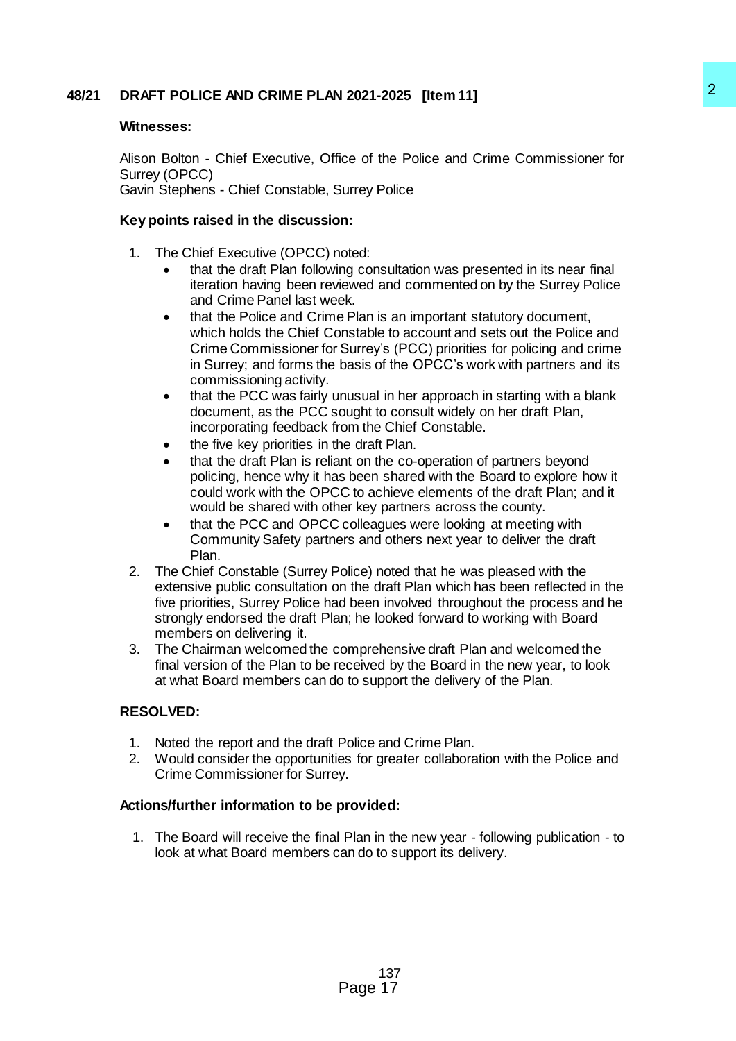# **48/21 DRAFT POLICE AND CRIME PLAN 2021-2025 [Item 11]**

### **Witnesses:**

Alison Bolton - Chief Executive, Office of the Police and Crime Commissioner for Surrey (OPCC) Gavin Stephens - Chief Constable, Surrey Police

### **Key points raised in the discussion:**

- 1. The Chief Executive (OPCC) noted:
	- that the draft Plan following consultation was presented in its near final iteration having been reviewed and commented on by the Surrey Police and Crime Panel last week.
- that the Police and Crime Plan is an important statutory document, which holds the Chief Constable to account and sets out the Police and Crime Commissioner for Surrey's (PCC) priorities for policing and crime in Surrey; and forms the basis of the OPCC's work with partners and its commissioning activity. 221-2025 [Item 11]<br>
ice of the Police and Crime Commissioner for<br>
22<br>
ice of the Police and Crime Commissioner for<br>
in:<br>
in:<br>
in:<br>
in:<br>
in:<br>
groconutation was presented in its near final<br>
ieved and commented on by the Surr
	- that the PCC was fairly unusual in her approach in starting with a blank document, as the PCC sought to consult widely on her draft Plan, incorporating feedback from the Chief Constable.
	- the five key priorities in the draft Plan.
	- that the draft Plan is reliant on the co-operation of partners beyond policing, hence why it has been shared with the Board to explore how it could work with the OPCC to achieve elements of the draft Plan; and it would be shared with other key partners across the county.
	- that the PCC and OPCC colleagues were looking at meeting with Community Safety partners and others next year to deliver the draft Plan.
- 2. The Chief Constable (Surrey Police) noted that he was pleased with the extensive public consultation on the draft Plan which has been reflected in the five priorities, Surrey Police had been involved throughout the process and he strongly endorsed the draft Plan; he looked forward to working with Board members on delivering it.
- 3. The Chairman welcomed the comprehensive draft Plan and welcomed the final version of the Plan to be received by the Board in the new year, to look at what Board members can do to support the delivery of the Plan.

# **RESOLVED:**

- 1. Noted the report and the draft Police and Crime Plan.
- 2. Would consider the opportunities for greater collaboration with the Police and Crime Commissioner for Surrey.

#### **Actions/further information to be provided:**

1. The Board will receive the final Plan in the new year - following publication - to look at what Board members can do to support its delivery.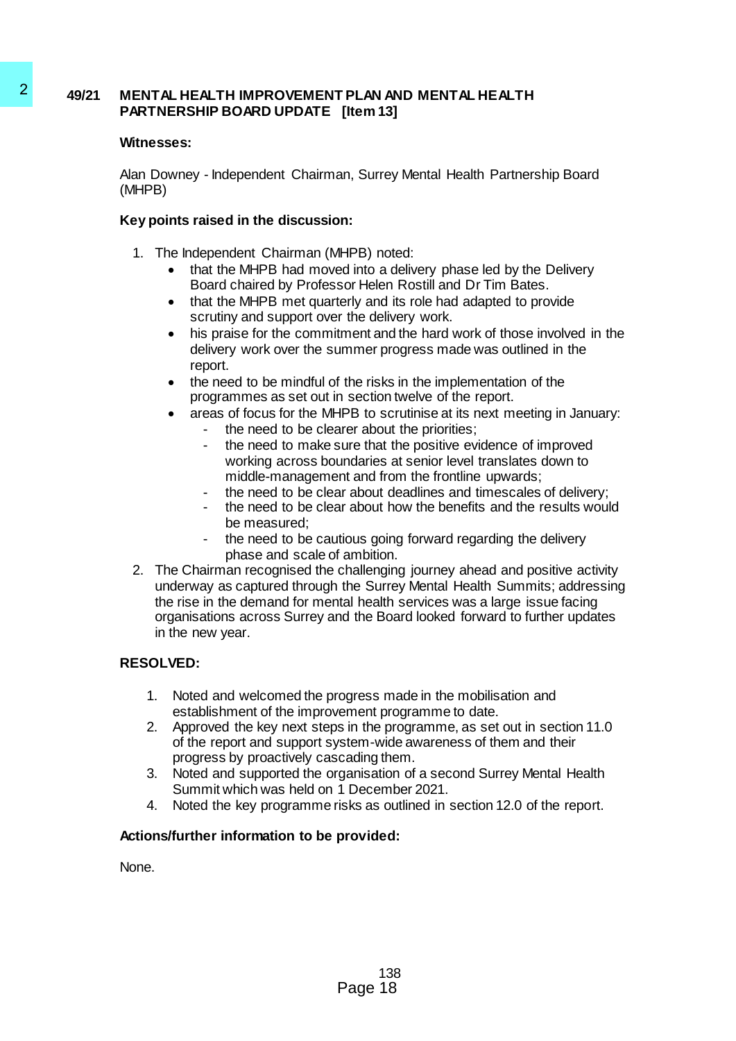# **49/21 MENTAL HEALTH IMPROVEMENT PLAN AND MENTAL HEALTH PARTNERSHIP BOARD UPDATE [Item 13]**

# **Witnesses:**

Alan Downey - Independent Chairman, Surrey Mental Health Partnership Board (MHPB)

### **Key points raised in the discussion:**

- 1. The Independent Chairman (MHPB) noted:
	- that the MHPB had moved into a delivery phase led by the Delivery Board chaired by Professor Helen Rostill and Dr Tim Bates.
	- that the MHPB met quarterly and its role had adapted to provide scrutiny and support over the delivery work.
	- his praise for the commitment and the hard work of those involved in the delivery work over the summer progress made was outlined in the report.
	- the need to be mindful of the risks in the implementation of the programmes as set out in section twelve of the report.
	- areas of focus for the MHPB to scrutinise at its next meeting in January:
		- the need to be clearer about the priorities;
		- the need to make sure that the positive evidence of improved working across boundaries at senior level translates down to middle-management and from the frontline upwards;
		- the need to be clear about deadlines and timescales of delivery;
		- the need to be clear about how the benefits and the results would be measured;
		- the need to be cautious going forward regarding the delivery phase and scale of ambition.
- 2. The Chairman recognised the challenging journey ahead and positive activity underway as captured through the Surrey Mental Health Summits; addressing the rise in the demand for mental health services was a large issue facing organisations across Surrey and the Board looked forward to further updates in the new year. 49/21 MENTAL HEALTH IMPROVEMENT PLAN AT<br>
PARTNET BOARD UPDATE [Itom 13]<br>
Wintersess:<br>
Alan Downey - Independent Chairman, Surrey<br>
(MHPB)<br>
Key points raised in the discussion:<br>
1. The independent Chairman (MHPB) not<br>
that t

# **RESOLVED:**

- 1. Noted and welcomed the progress made in the mobilisation and establishment of the improvement programme to date.
- 2. Approved the key next steps in the programme, as set out in section 11.0 of the report and support system-wide awareness of them and their progress by proactively cascading them.
- 3. Noted and supported the organisation of a second Surrey Mental Health Summit which was held on 1 December 2021.
- 4. Noted the key programme risks as outlined in section 12.0 of the report.

# **Actions/further information to be provided:**

None.